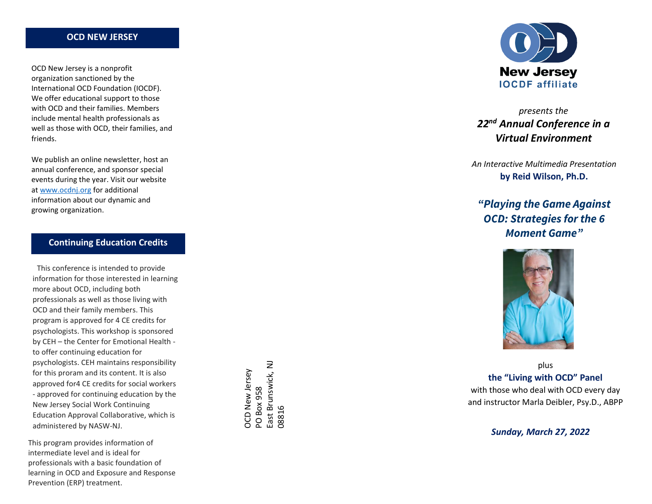### **OCD NEW JERSEY**

OCD New Jersey is a nonprofit organization sanctioned by the International OCD Foundation (IOCDF). We offer educational support to those with OCD and their families. Members include mental health professionals as well as those with OCD, their families, and friends.

We publish an online newsletter, host an annual conference, and sponsor special events during the year. Visit our website at www.ocdnj.org for additional information about our dynamic and growing organization.

## **Continuing Education Credits**

This conference is intended to provide information for those interested in learning more about OCD, including both professionals as well as those living with OCD and their family members. This program is approved for 4 CE credits for psychologists. This workshop is sponsored by CEH - the Center for Emotional Health to offer continuing education for psychologists. CEH maintains responsibility for this proram and its content. It is also approved for4 CE credits for social workers - approved for continuing education by the New Jersey Social Work Continuing Education Approval Collaborative, which is administered by NASW -NJ.

This program provides information of intermediate level and is ideal for professionals with a basic foundation of learning in OCD and Exposure and Response Prevention (ERP) treatment.

East Brunswick, NJ PO Box 958<br>East Brunswick, NJ OCD New Jersey OCD New Jersey 08816



# *presents the 22nd Annual Conference in a Virtual Environment*

*An Interactive Multimedia Presentation*  **by Reid Wilson, Ph.D.**

*"Playing the Game Against OCD: Strategies for the 6 Moment Game"* 



plus **the "Living with OCD" Panel** with those who deal with OCD every day and instructor Marla Deibler, Psy.D., ABPP

*Sunday, March 27, 2022*